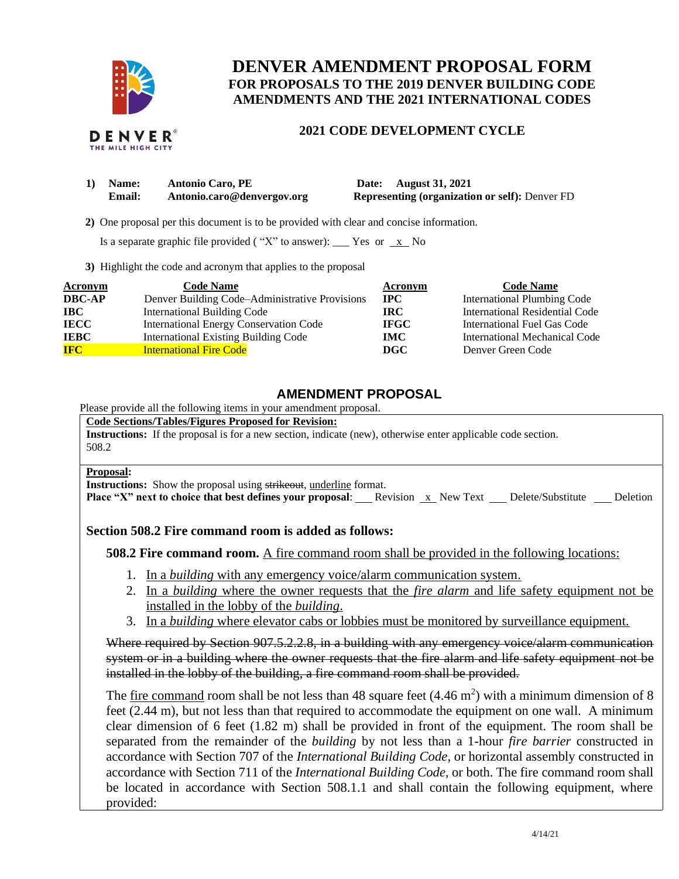

# **DENVER AMENDMENT PROPOSAL FORM FOR PROPOSALS TO THE 2019 DENVER BUILDING CODE AMENDMENTS AND THE 2021 INTERNATIONAL CODES**

## **2021 CODE DEVELOPMENT CYCLE**

| 1) Name: | <b>Antonio Caro, PE</b>    | Date: August 31, 2021                                 |
|----------|----------------------------|-------------------------------------------------------|
| Email:   | Antonio.caro@denvergov.org | <b>Representing (organization or self): Denver FD</b> |

 **2)** One proposal per this document is to be provided with clear and concise information.

Is a separate graphic file provided ("X" to answer): \_\_\_ Yes or  $\overline{x}$  No

**3)** Highlight the code and acronym that applies to the proposal

| <b>Acronym</b> | <b>Code Name</b>                               | Acronym      | <b>Code Name</b>                   |
|----------------|------------------------------------------------|--------------|------------------------------------|
| <b>DBC-AP</b>  | Denver Building Code–Administrative Provisions | $_{\rm IPC}$ | <b>International Plumbing Code</b> |
| <b>IBC</b>     | <b>International Building Code</b>             | IRC-         | International Residential Code     |
| <b>IECC</b>    | <b>International Energy Conservation Code</b>  | <b>IFGC</b>  | International Fuel Gas Code        |
| <b>IEBC</b>    | <b>International Existing Building Code</b>    | <b>IMC</b>   | International Mechanical Code      |
| <b>IFC</b>     | <b>International Fire Code</b>                 | DGC          | Denver Green Code                  |

## **AMENDMENT PROPOSAL**

Please provide all the following items in your amendment proposal.

**Code Sections/Tables/Figures Proposed for Revision: Instructions:** If the proposal is for a new section, indicate (new), otherwise enter applicable code section. 508.2

### **Proposal:**

**Instructions:** Show the proposal using strikeout, underline format.

**Place "X" next to choice that best defines your proposal:** Revision x New Text Delete/Substitute Deletion

## **Section 508.2 Fire command room is added as follows:**

**508.2 Fire command room.** A fire command room shall be provided in the following locations:

- 1. In a *building* with any emergency voice/alarm communication system.
- 2. In a *building* where the owner requests that the *fire alarm* and life safety equipment not be installed in the lobby of the *building*.
- 3. In a *building* where elevator cabs or lobbies must be monitored by surveillance equipment.

Where required by Section 907.5.2.2.8, in a building with any emergency voice/alarm communication system or in a building where the owner requests that the fire alarm and life safety equipment not be installed in the lobby of the building, a fire command room shall be provided.

The <u>fire command</u> room shall be not less than 48 square feet  $(4.46 \text{ m}^2)$  with a minimum dimension of 8 feet (2.44 m), but not less than that required to accommodate the equipment on one wall. A minimum clear dimension of 6 feet (1.82 m) shall be provided in front of the equipment. The room shall be separated from the remainder of the *building* by not less than a 1-hour *fire barrier* constructed in accordance with Section 707 of the *International Building Code*, or horizontal assembly constructed in accordance with Section 711 of the *International Building Code*, or both. The fire command room shall be located in accordance with Section 508.1.1 and shall contain the following equipment, where provided: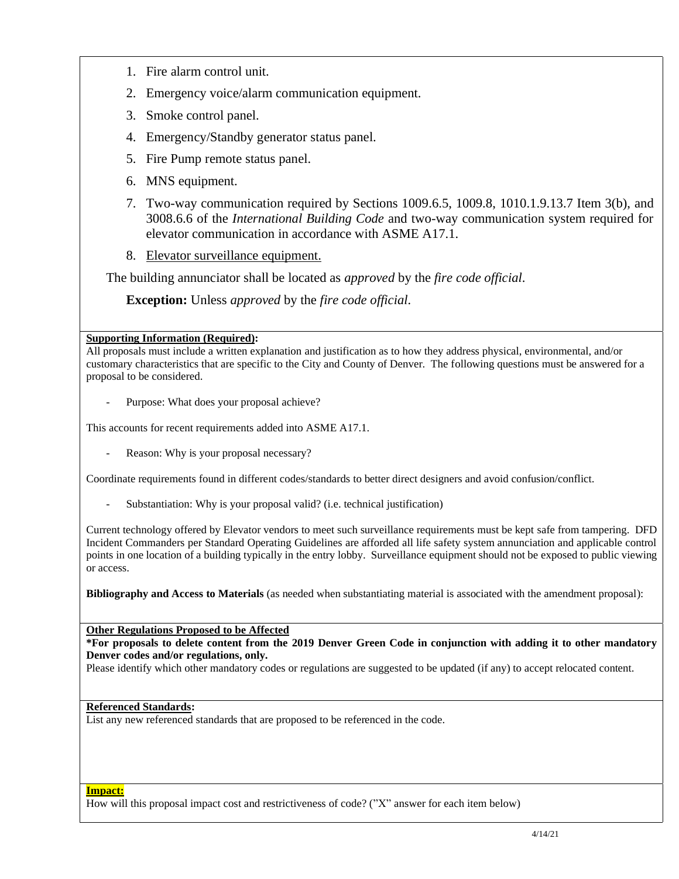- 1. Fire alarm control unit.
- 2. Emergency voice/alarm communication equipment.
- 3. Smoke control panel.
- 4. Emergency/Standby generator status panel.
- 5. Fire Pump remote status panel.
- 6. MNS equipment.
- 7. Two-way communication required by Sections 1009.6.5, 1009.8, 1010.1.9.13.7 Item 3(b), and 3008.6.6 of the *International Building Code* and two-way communication system required for elevator communication in accordance with ASME A17.1.
- 8. Elevator surveillance equipment.

The building annunciator shall be located as *approved* by the *fire code official*.

**Exception:** Unless *approved* by the *fire code official.*

### **Supporting Information (Required):**

All proposals must include a written explanation and justification as to how they address physical, environmental, and/or customary characteristics that are specific to the City and County of Denver. The following questions must be answered for a proposal to be considered.

Purpose: What does your proposal achieve?

This accounts for recent requirements added into ASME A17.1.

Reason: Why is your proposal necessary?

Coordinate requirements found in different codes/standards to better direct designers and avoid confusion/conflict.

Substantiation: Why is your proposal valid? (i.e. technical justification)

Current technology offered by Elevator vendors to meet such surveillance requirements must be kept safe from tampering. DFD Incident Commanders per Standard Operating Guidelines are afforded all life safety system annunciation and applicable control points in one location of a building typically in the entry lobby. Surveillance equipment should not be exposed to public viewing or access.

**Bibliography and Access to Materials** (as needed when substantiating material is associated with the amendment proposal):

**Other Regulations Proposed to be Affected**

**\*For proposals to delete content from the 2019 Denver Green Code in conjunction with adding it to other mandatory Denver codes and/or regulations, only.**

Please identify which other mandatory codes or regulations are suggested to be updated (if any) to accept relocated content.

### **Referenced Standards:**

List any new referenced standards that are proposed to be referenced in the code.

#### **Impact:**

How will this proposal impact cost and restrictiveness of code? ("X" answer for each item below)